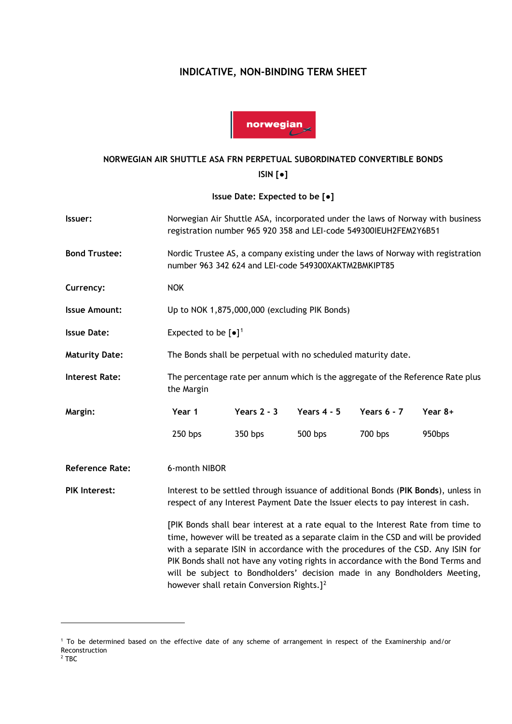# **INDICATIVE, NON-BINDING TERM SHEET**



### **NORWEGIAN AIR SHUTTLE ASA FRN PERPETUAL SUBORDINATED CONVERTIBLE BONDS**

**ISIN [●]**

**Issue Date: Expected to be [●]**

| Issuer:                | Norwegian Air Shuttle ASA, incorporated under the laws of Norway with business<br>registration number 965 920 358 and LEI-code 549300IEUH2FEM2Y6B51                                                                                                                                                                                                                                                                                                                                |               |               |               |           |
|------------------------|------------------------------------------------------------------------------------------------------------------------------------------------------------------------------------------------------------------------------------------------------------------------------------------------------------------------------------------------------------------------------------------------------------------------------------------------------------------------------------|---------------|---------------|---------------|-----------|
| <b>Bond Trustee:</b>   | Nordic Trustee AS, a company existing under the laws of Norway with registration<br>number 963 342 624 and LEI-code 549300XAKTM2BMKIPT85                                                                                                                                                                                                                                                                                                                                           |               |               |               |           |
| Currency:              | <b>NOK</b>                                                                                                                                                                                                                                                                                                                                                                                                                                                                         |               |               |               |           |
| <b>Issue Amount:</b>   | Up to NOK 1,875,000,000 (excluding PIK Bonds)                                                                                                                                                                                                                                                                                                                                                                                                                                      |               |               |               |           |
| <b>Issue Date:</b>     | Expected to be $[\bullet]^1$                                                                                                                                                                                                                                                                                                                                                                                                                                                       |               |               |               |           |
| <b>Maturity Date:</b>  | The Bonds shall be perpetual with no scheduled maturity date.                                                                                                                                                                                                                                                                                                                                                                                                                      |               |               |               |           |
| <b>Interest Rate:</b>  | The percentage rate per annum which is the aggregate of the Reference Rate plus<br>the Margin                                                                                                                                                                                                                                                                                                                                                                                      |               |               |               |           |
| Margin:                | Year 1                                                                                                                                                                                                                                                                                                                                                                                                                                                                             | Years $2 - 3$ | Years $4 - 5$ | Years $6 - 7$ | Year $8+$ |
|                        | 250 bps                                                                                                                                                                                                                                                                                                                                                                                                                                                                            | 350 bps       | 500 bps       | 700 bps       | 950bps    |
| <b>Reference Rate:</b> | 6-month NIBOR                                                                                                                                                                                                                                                                                                                                                                                                                                                                      |               |               |               |           |
| <b>PIK Interest:</b>   | Interest to be settled through issuance of additional Bonds (PIK Bonds), unless in<br>respect of any Interest Payment Date the Issuer elects to pay interest in cash.                                                                                                                                                                                                                                                                                                              |               |               |               |           |
|                        | [PIK Bonds shall bear interest at a rate equal to the Interest Rate from time to<br>time, however will be treated as a separate claim in the CSD and will be provided<br>with a separate ISIN in accordance with the procedures of the CSD. Any ISIN for<br>PIK Bonds shall not have any voting rights in accordance with the Bond Terms and<br>will be subject to Bondholders' decision made in any Bondholders Meeting,<br>however shall retain Conversion Rights.] <sup>2</sup> |               |               |               |           |

<span id="page-0-1"></span><span id="page-0-0"></span><sup>1</sup> To be determined based on the effective date of any scheme of arrangement in respect of the Examinership and/or Reconstruction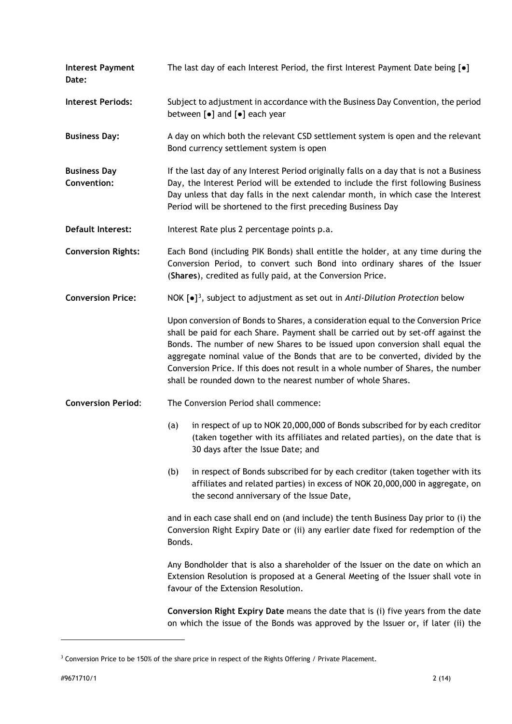**Interest Payment Date:** The last day of each Interest Period, the first Interest Payment Date being [●] **Interest Periods:** Subject to adjustment in accordance with the Business Day Convention, the period

**Business Day:** A day on which both the relevant CSD settlement system is open and the relevant Bond currency settlement system is open

**Business Day Convention:** If the last day of any Interest Period originally falls on a day that is not a Business Day, the Interest Period will be extended to include the first following Business Day unless that day falls in the next calendar month, in which case the Interest Period will be shortened to the first preceding Business Day

**Default Interest:** Interest Rate plus 2 percentage points p.a.

between [●] and [●] each year

**Conversion Rights:** Each Bond (including PIK Bonds) shall entitle the holder, at any time during the Conversion Period, to convert such Bond into ordinary shares of the Issuer (**Shares**), credited as fully paid, at the Conversion Price.

**Conversion Price:** NOK [ $\bullet$ ]<sup>3</sup>, subject to adjustment as set out in *Anti-Dilution Protection* below

> Upon conversion of Bonds to Shares, a consideration equal to the Conversion Price shall be paid for each Share. Payment shall be carried out by set-off against the Bonds. The number of new Shares to be issued upon conversion shall equal the aggregate nominal value of the Bonds that are to be converted, divided by the Conversion Price. If this does not result in a whole number of Shares, the number shall be rounded down to the nearest number of whole Shares.

**Conversion Period**: The Conversion Period shall commence:

- (a) in respect of up to NOK 20,000,000 of Bonds subscribed for by each creditor (taken together with its affiliates and related parties), on the date that is 30 days after the Issue Date; and
- (b) in respect of Bonds subscribed for by each creditor (taken together with its affiliates and related parties) in excess of NOK 20,000,000 in aggregate, on the second anniversary of the Issue Date,

and in each case shall end on (and include) the tenth Business Day prior to (i) the Conversion Right Expiry Date or (ii) any earlier date fixed for redemption of the Bonds.

Any Bondholder that is also a shareholder of the Issuer on the date on which an Extension Resolution is proposed at a General Meeting of the Issuer shall vote in favour of the Extension Resolution.

**Conversion Right Expiry Date** means the date that is (i) five years from the date on which the issue of the Bonds was approved by the Issuer or, if later (ii) the

<span id="page-1-0"></span> $3$  Conversion Price to be 150% of the share price in respect of the Rights Offering / Private Placement.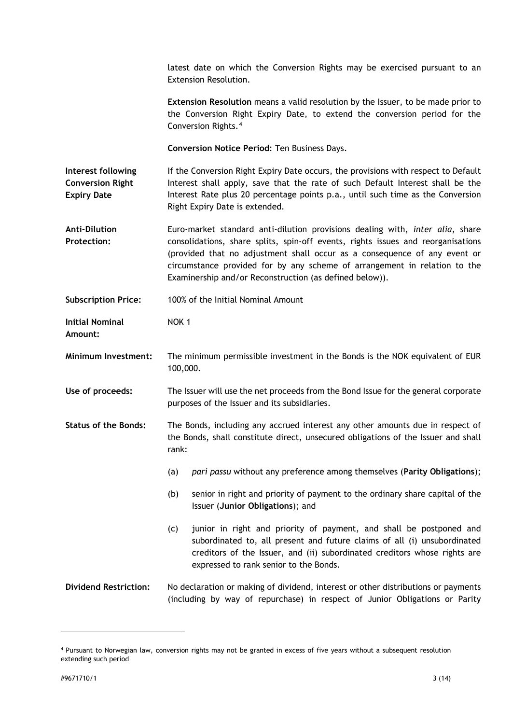latest date on which the Conversion Rights may be exercised pursuant to an Extension Resolution.

**Extension Resolution** means a valid resolution by the Issuer, to be made prior to the Conversion Right Expiry Date, to extend the conversion period for the Conversion Rights.[4](#page-2-0)

**Conversion Notice Period**: Ten Business Days.

**Interest following Conversion Right Expiry Date** If the Conversion Right Expiry Date occurs, the provisions with respect to Default Interest shall apply, save that the rate of such Default Interest shall be the Interest Rate plus 20 percentage points p.a., until such time as the Conversion Right Expiry Date is extended.

**Anti-Dilution Protection:** Euro-market standard anti-dilution provisions dealing with, *inter alia*, share consolidations, share splits, spin-off events, rights issues and reorganisations (provided that no adjustment shall occur as a consequence of any event or circumstance provided for by any scheme of arrangement in relation to the Examinership and/or Reconstruction (as defined below)).

**Subscription Price:** 100% of the Initial Nominal Amount

**Initial Nominal**  NOK 1

**Amount:**

**Minimum Investment:** The minimum permissible investment in the Bonds is the NOK equivalent of EUR 100,000.

**Use of proceeds:** The Issuer will use the net proceeds from the Bond Issue for the general corporate purposes of the Issuer and its subsidiaries.

**Status of the Bonds:** The Bonds, including any accrued interest any other amounts due in respect of the Bonds, shall constitute direct, unsecured obligations of the Issuer and shall rank:

- (a) *pari passu* without any preference among themselves (**Parity Obligations**);
- (b) senior in right and priority of payment to the ordinary share capital of the Issuer (**Junior Obligations**); and
- (c) junior in right and priority of payment, and shall be postponed and subordinated to, all present and future claims of all (i) unsubordinated creditors of the Issuer, and (ii) subordinated creditors whose rights are expressed to rank senior to the Bonds.
- **Dividend Restriction:** No declaration or making of dividend, interest or other distributions or payments (including by way of repurchase) in respect of Junior Obligations or Parity

<span id="page-2-0"></span><sup>4</sup> Pursuant to Norwegian law, conversion rights may not be granted in excess of five years without a subsequent resolution extending such period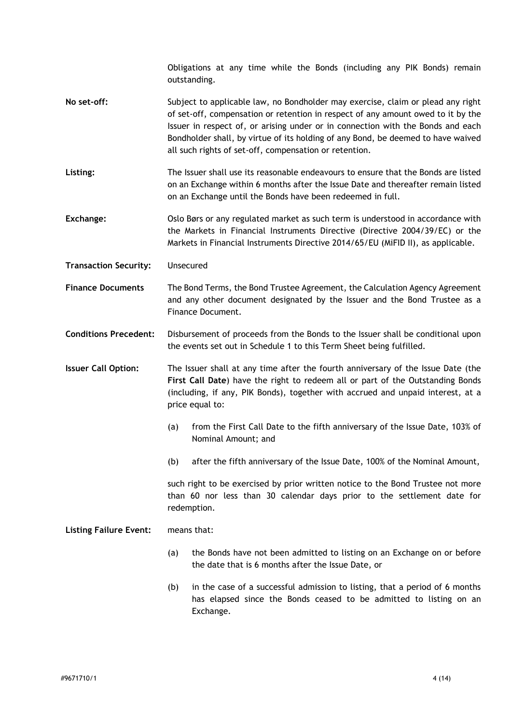Obligations at any time while the Bonds (including any PIK Bonds) remain outstanding.

- **No set-off:** Subject to applicable law, no Bondholder may exercise, claim or plead any right of set-off, compensation or retention in respect of any amount owed to it by the Issuer in respect of, or arising under or in connection with the Bonds and each Bondholder shall, by virtue of its holding of any Bond, be deemed to have waived all such rights of set-off, compensation or retention.
- **Listing:** The Issuer shall use its reasonable endeavours to ensure that the Bonds are listed on an Exchange within 6 months after the Issue Date and thereafter remain listed on an Exchange until the Bonds have been redeemed in full.
- **Exchange:** Oslo Børs or any regulated market as such term is understood in accordance with the Markets in Financial Instruments Directive (Directive 2004/39/EC) or the Markets in Financial Instruments Directive 2014/65/EU (MiFID II), as applicable.
- **Transaction Security:** Unsecured
- **Finance Documents** The Bond Terms, the Bond Trustee Agreement, the Calculation Agency Agreement and any other document designated by the Issuer and the Bond Trustee as a Finance Document.

**Conditions Precedent:** Disbursement of proceeds from the Bonds to the Issuer shall be conditional upon the events set out in Schedule 1 to this Term Sheet being fulfilled.

**Issuer Call Option:** The Issuer shall at any time after the fourth anniversary of the Issue Date (the **First Call Date**) have the right to redeem all or part of the Outstanding Bonds (including, if any, PIK Bonds), together with accrued and unpaid interest, at a price equal to:

- (a) from the First Call Date to the fifth anniversary of the Issue Date, 103% of Nominal Amount; and
- (b) after the fifth anniversary of the Issue Date, 100% of the Nominal Amount,

such right to be exercised by prior written notice to the Bond Trustee not more than 60 nor less than 30 calendar days prior to the settlement date for redemption.

**Listing Failure Event:** means that:

- (a) the Bonds have not been admitted to listing on an Exchange on or before the date that is 6 months after the Issue Date, or
- (b) in the case of a successful admission to listing, that a period of 6 months has elapsed since the Bonds ceased to be admitted to listing on an Exchange.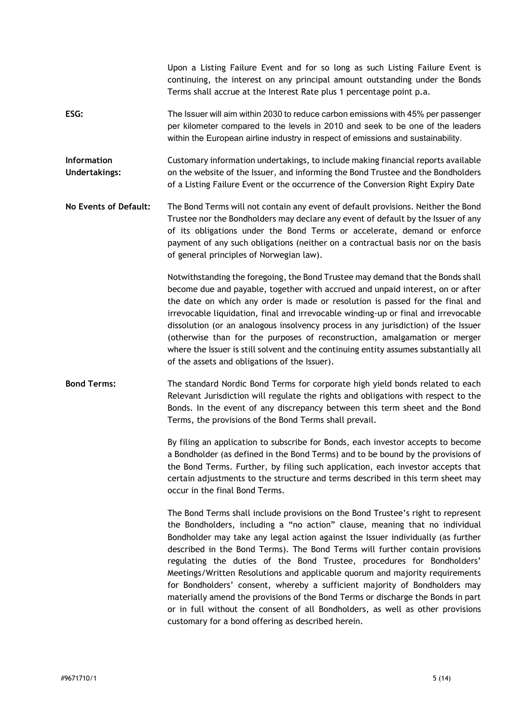per kilometer compared to the levels in 2010 and seek to be one of the leaders within the European airline industry in respect of emissions and sustainability. **Information Undertakings:** Customary information undertakings, to include making financial reports available on the website of the Issuer, and informing the Bond Trustee and the Bondholders of a Listing Failure Event or the occurrence of the Conversion Right Expiry Date **No Events of Default:** The Bond Terms will not contain any event of default provisions. Neither the Bond Trustee nor the Bondholders may declare any event of default by the Issuer of any of its obligations under the Bond Terms or accelerate, demand or enforce payment of any such obligations (neither on a contractual basis nor on the basis of general principles of Norwegian law). Notwithstanding the foregoing, the Bond Trustee may demand that the Bonds shall become due and payable, together with accrued and unpaid interest, on or after the date on which any order is made or resolution is passed for the final and irrevocable liquidation, final and irrevocable winding-up or final and irrevocable dissolution (or an analogous insolvency process in any jurisdiction) of the Issuer (otherwise than for the purposes of reconstruction, amalgamation or merger where the Issuer is still solvent and the continuing entity assumes substantially all of the assets and obligations of the Issuer). **Bond Terms:** The standard Nordic Bond Terms for corporate high yield bonds related to each Relevant Jurisdiction will regulate the rights and obligations with respect to the Bonds. In the event of any discrepancy between this term sheet and the Bond Terms, the provisions of the Bond Terms shall prevail. By filing an application to subscribe for Bonds, each investor accepts to become a Bondholder (as defined in the Bond Terms) and to be bound by the provisions of the Bond Terms. Further, by filing such application, each investor accepts that certain adjustments to the structure and terms described in this term sheet may occur in the final Bond Terms. The Bond Terms shall include provisions on the Bond Trustee's right to represent the Bondholders, including a "no action" clause, meaning that no individual Bondholder may take any legal action against the Issuer individually (as further described in the Bond Terms). The Bond Terms will further contain provisions regulating the duties of the Bond Trustee, procedures for Bondholders' Meetings/Written Resolutions and applicable quorum and majority requirements for Bondholders' consent, whereby a sufficient majority of Bondholders may materially amend the provisions of the Bond Terms or discharge the Bonds in part or in full without the consent of all Bondholders, as well as other provisions customary for a bond offering as described herein.

Upon a Listing Failure Event and for so long as such Listing Failure Event is continuing, the interest on any principal amount outstanding under the Bonds

Terms shall accrue at the Interest Rate plus 1 percentage point p.a.

**ESG:** The Issuer will aim within 2030 to reduce carbon emissions with 45% per passenger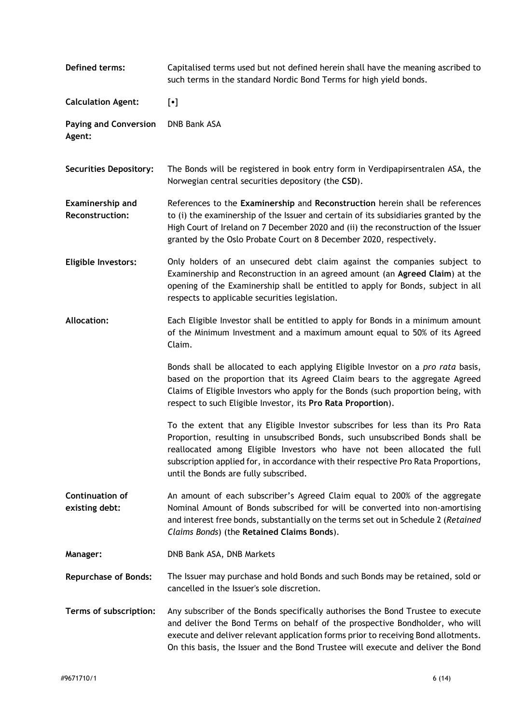| Defined terms:                             | Capitalised terms used but not defined herein shall have the meaning ascribed to<br>such terms in the standard Nordic Bond Terms for high yield bonds.                                                                                                                                                                                                                       |  |
|--------------------------------------------|------------------------------------------------------------------------------------------------------------------------------------------------------------------------------------------------------------------------------------------------------------------------------------------------------------------------------------------------------------------------------|--|
| <b>Calculation Agent:</b>                  | $[\cdot]$                                                                                                                                                                                                                                                                                                                                                                    |  |
| <b>Paying and Conversion</b><br>Agent:     | DNB Bank ASA                                                                                                                                                                                                                                                                                                                                                                 |  |
| <b>Securities Depository:</b>              | The Bonds will be registered in book entry form in Verdipapirsentralen ASA, the<br>Norwegian central securities depository (the CSD).                                                                                                                                                                                                                                        |  |
| <b>Examinership and</b><br>Reconstruction: | References to the Examinership and Reconstruction herein shall be references<br>to (i) the examinership of the Issuer and certain of its subsidiaries granted by the<br>High Court of Ireland on 7 December 2020 and (ii) the reconstruction of the Issuer<br>granted by the Oslo Probate Court on 8 December 2020, respectively.                                            |  |
| <b>Eligible Investors:</b>                 | Only holders of an unsecured debt claim against the companies subject to<br>Examinership and Reconstruction in an agreed amount (an Agreed Claim) at the<br>opening of the Examinership shall be entitled to apply for Bonds, subject in all<br>respects to applicable securities legislation.                                                                               |  |
| <b>Allocation:</b>                         | Each Eligible Investor shall be entitled to apply for Bonds in a minimum amount<br>of the Minimum Investment and a maximum amount equal to 50% of its Agreed<br>Claim.                                                                                                                                                                                                       |  |
|                                            | Bonds shall be allocated to each applying Eligible Investor on a pro rata basis,<br>based on the proportion that its Agreed Claim bears to the aggregate Agreed<br>Claims of Eligible Investors who apply for the Bonds (such proportion being, with<br>respect to such Eligible Investor, its Pro Rata Proportion).                                                         |  |
|                                            | To the extent that any Eligible Investor subscribes for less than its Pro Rata<br>Proportion, resulting in unsubscribed Bonds, such unsubscribed Bonds shall be<br>reallocated among Eligible Investors who have not been allocated the full<br>subscription applied for, in accordance with their respective Pro Rata Proportions,<br>until the Bonds are fully subscribed. |  |
| <b>Continuation of</b><br>existing debt:   | An amount of each subscriber's Agreed Claim equal to 200% of the aggregate<br>Nominal Amount of Bonds subscribed for will be converted into non-amortising<br>and interest free bonds, substantially on the terms set out in Schedule 2 (Retained<br>Claims Bonds) (the Retained Claims Bonds).                                                                              |  |
| Manager:                                   | DNB Bank ASA, DNB Markets                                                                                                                                                                                                                                                                                                                                                    |  |
| <b>Repurchase of Bonds:</b>                | The Issuer may purchase and hold Bonds and such Bonds may be retained, sold or<br>cancelled in the Issuer's sole discretion.                                                                                                                                                                                                                                                 |  |
| Terms of subscription:                     | Any subscriber of the Bonds specifically authorises the Bond Trustee to execute<br>and deliver the Bond Terms on behalf of the prospective Bondholder, who will<br>execute and deliver relevant application forms prior to receiving Bond allotments.<br>On this basis, the Issuer and the Bond Trustee will execute and deliver the Bond                                    |  |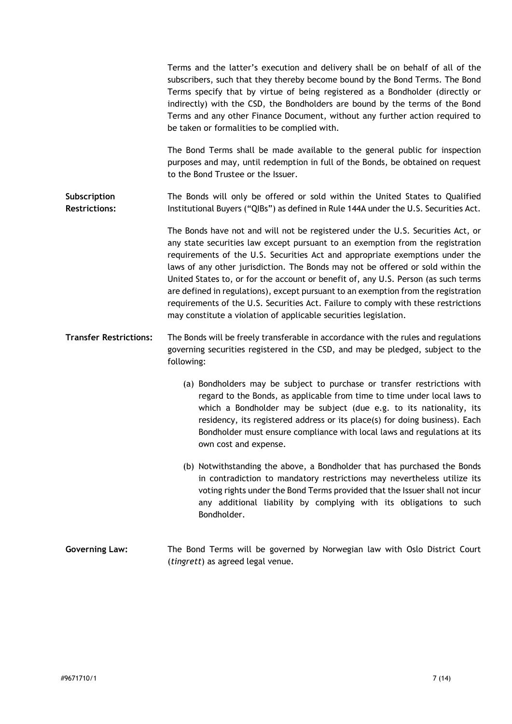|                                      | Terms and the latter's execution and delivery shall be on behalf of all of the<br>subscribers, such that they thereby become bound by the Bond Terms. The Bond<br>Terms specify that by virtue of being registered as a Bondholder (directly or<br>indirectly) with the CSD, the Bondholders are bound by the terms of the Bond<br>Terms and any other Finance Document, without any further action required to<br>be taken or formalities to be complied with.<br>The Bond Terms shall be made available to the general public for inspection                                                                                                                             |
|--------------------------------------|----------------------------------------------------------------------------------------------------------------------------------------------------------------------------------------------------------------------------------------------------------------------------------------------------------------------------------------------------------------------------------------------------------------------------------------------------------------------------------------------------------------------------------------------------------------------------------------------------------------------------------------------------------------------------|
|                                      | purposes and may, until redemption in full of the Bonds, be obtained on request<br>to the Bond Trustee or the Issuer.                                                                                                                                                                                                                                                                                                                                                                                                                                                                                                                                                      |
| Subscription<br><b>Restrictions:</b> | The Bonds will only be offered or sold within the United States to Qualified<br>Institutional Buyers ("QIBs") as defined in Rule 144A under the U.S. Securities Act.                                                                                                                                                                                                                                                                                                                                                                                                                                                                                                       |
|                                      | The Bonds have not and will not be registered under the U.S. Securities Act, or<br>any state securities law except pursuant to an exemption from the registration<br>requirements of the U.S. Securities Act and appropriate exemptions under the<br>laws of any other jurisdiction. The Bonds may not be offered or sold within the<br>United States to, or for the account or benefit of, any U.S. Person (as such terms<br>are defined in regulations), except pursuant to an exemption from the registration<br>requirements of the U.S. Securities Act. Failure to comply with these restrictions<br>may constitute a violation of applicable securities legislation. |
| <b>Transfer Restrictions:</b>        | The Bonds will be freely transferable in accordance with the rules and regulations<br>governing securities registered in the CSD, and may be pledged, subject to the<br>following:                                                                                                                                                                                                                                                                                                                                                                                                                                                                                         |
|                                      | (a) Bondholders may be subject to purchase or transfer restrictions with<br>regard to the Bonds, as applicable from time to time under local laws to<br>which a Bondholder may be subject (due e.g. to its nationality, its<br>residency, its registered address or its place(s) for doing business). Each<br>Bondholder must ensure compliance with local laws and regulations at its<br>own cost and expense.                                                                                                                                                                                                                                                            |
|                                      | (b) Notwithstanding the above, a Bondholder that has purchased the Bonds<br>in contradiction to mandatory restrictions may nevertheless utilize its<br>voting rights under the Bond Terms provided that the Issuer shall not incur<br>any additional liability by complying with its obligations to such<br>Bondholder.                                                                                                                                                                                                                                                                                                                                                    |
| <b>Governing Law:</b>                | The Bond Terms will be governed by Norwegian law with Oslo District Court<br>(tingrett) as agreed legal venue.                                                                                                                                                                                                                                                                                                                                                                                                                                                                                                                                                             |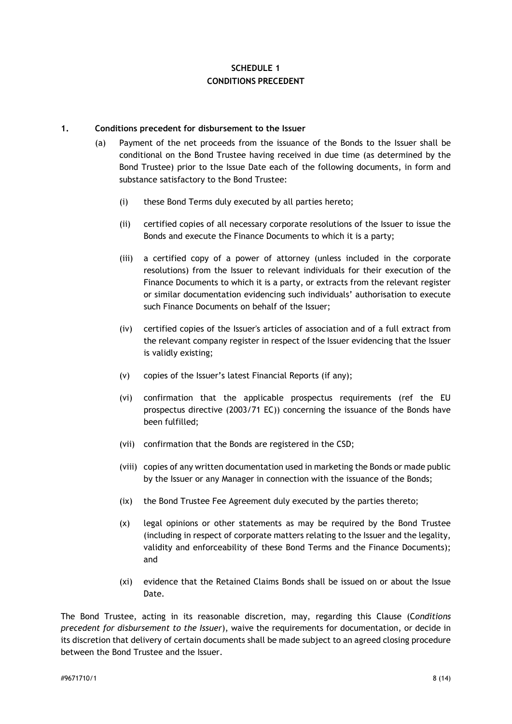## **SCHEDULE 1 CONDITIONS PRECEDENT**

### **1. Conditions precedent for disbursement to the Issuer**

- (a) Payment of the net proceeds from the issuance of the Bonds to the Issuer shall be conditional on the Bond Trustee having received in due time (as determined by the Bond Trustee) prior to the Issue Date each of the following documents, in form and substance satisfactory to the Bond Trustee:
	- (i) these Bond Terms duly executed by all parties hereto;
	- (ii) certified copies of all necessary corporate resolutions of the Issuer to issue the Bonds and execute the Finance Documents to which it is a party;
	- (iii) a certified copy of a power of attorney (unless included in the corporate resolutions) from the Issuer to relevant individuals for their execution of the Finance Documents to which it is a party, or extracts from the relevant register or similar documentation evidencing such individuals' authorisation to execute such Finance Documents on behalf of the Issuer;
	- (iv) certified copies of the Issuer's articles of association and of a full extract from the relevant company register in respect of the Issuer evidencing that the Issuer is validly existing;
	- (v) copies of the Issuer's latest Financial Reports (if any);
	- (vi) confirmation that the applicable prospectus requirements (ref the EU prospectus directive (2003/71 EC)) concerning the issuance of the Bonds have been fulfilled;
	- (vii) confirmation that the Bonds are registered in the CSD;
	- (viii) copies of any written documentation used in marketing the Bonds or made public by the Issuer or any Manager in connection with the issuance of the Bonds;
	- (ix) the Bond Trustee Fee Agreement duly executed by the parties thereto;
	- (x) legal opinions or other statements as may be required by the Bond Trustee (including in respect of corporate matters relating to the Issuer and the legality, validity and enforceability of these Bond Terms and the Finance Documents); and
	- (xi) evidence that the Retained Claims Bonds shall be issued on or about the Issue Date.

The Bond Trustee, acting in its reasonable discretion, may, regarding this Clause (C*onditions precedent for disbursement to the Issuer*), waive the requirements for documentation, or decide in its discretion that delivery of certain documents shall be made subject to an agreed closing procedure between the Bond Trustee and the Issuer.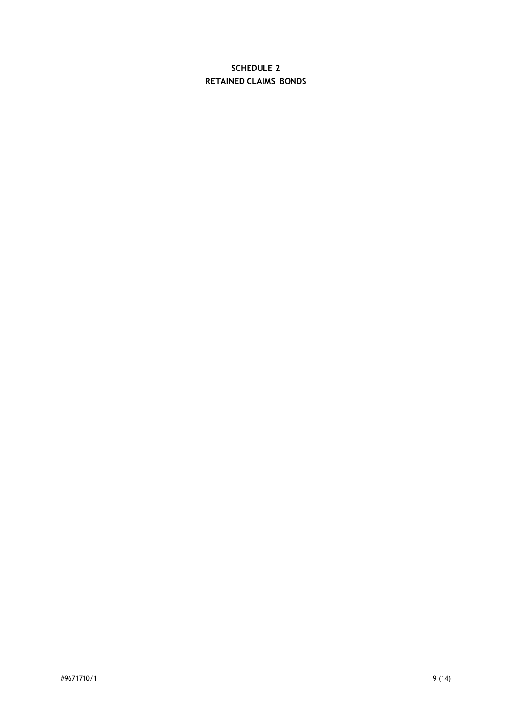# **SCHEDULE 2 RETAINED CLAIMS BONDS**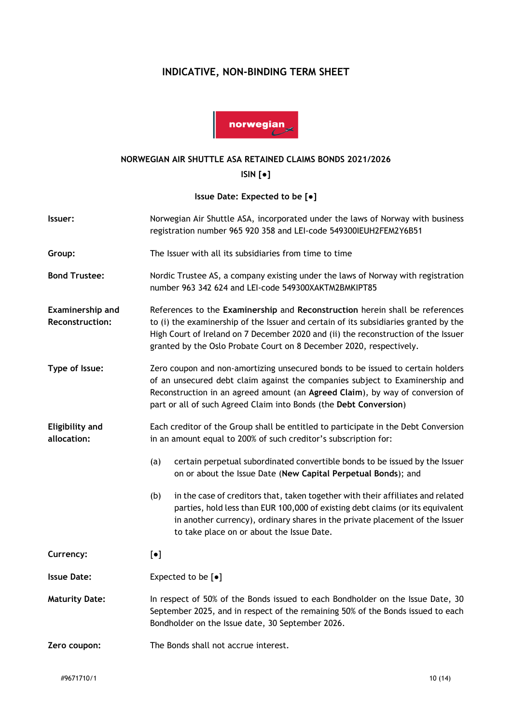# **INDICATIVE, NON-BINDING TERM SHEET**



### **NORWEGIAN AIR SHUTTLE ASA RETAINED CLAIMS BONDS 2021/2026**

**ISIN [●]**

**Issue Date: Expected to be [●]**

| Issuer:                                    | Norwegian Air Shuttle ASA, incorporated under the laws of Norway with business<br>registration number 965 920 358 and LEI-code 549300IEUH2FEM2Y6B51                                                                                                                                                                               |                                                                                                                                                                                                                                                                                                |  |
|--------------------------------------------|-----------------------------------------------------------------------------------------------------------------------------------------------------------------------------------------------------------------------------------------------------------------------------------------------------------------------------------|------------------------------------------------------------------------------------------------------------------------------------------------------------------------------------------------------------------------------------------------------------------------------------------------|--|
| Group:                                     | The Issuer with all its subsidiaries from time to time                                                                                                                                                                                                                                                                            |                                                                                                                                                                                                                                                                                                |  |
| <b>Bond Trustee:</b>                       | Nordic Trustee AS, a company existing under the laws of Norway with registration<br>number 963 342 624 and LEI-code 549300XAKTM2BMKIPT85                                                                                                                                                                                          |                                                                                                                                                                                                                                                                                                |  |
| Examinership and<br><b>Reconstruction:</b> | References to the Examinership and Reconstruction herein shall be references<br>to (i) the examinership of the Issuer and certain of its subsidiaries granted by the<br>High Court of Ireland on 7 December 2020 and (ii) the reconstruction of the Issuer<br>granted by the Oslo Probate Court on 8 December 2020, respectively. |                                                                                                                                                                                                                                                                                                |  |
| Type of Issue:                             | Zero coupon and non-amortizing unsecured bonds to be issued to certain holders<br>of an unsecured debt claim against the companies subject to Examinership and<br>Reconstruction in an agreed amount (an Agreed Claim), by way of conversion of<br>part or all of such Agreed Claim into Bonds (the Debt Conversion)              |                                                                                                                                                                                                                                                                                                |  |
| <b>Eligibility and</b><br>allocation:      | Each creditor of the Group shall be entitled to participate in the Debt Conversion<br>in an amount equal to 200% of such creditor's subscription for:                                                                                                                                                                             |                                                                                                                                                                                                                                                                                                |  |
|                                            | (a)                                                                                                                                                                                                                                                                                                                               | certain perpetual subordinated convertible bonds to be issued by the Issuer<br>on or about the Issue Date (New Capital Perpetual Bonds); and                                                                                                                                                   |  |
|                                            | (b)                                                                                                                                                                                                                                                                                                                               | in the case of creditors that, taken together with their affiliates and related<br>parties, hold less than EUR 100,000 of existing debt claims (or its equivalent<br>in another currency), ordinary shares in the private placement of the Issuer<br>to take place on or about the Issue Date. |  |
| Currency:                                  | $[\bullet]$                                                                                                                                                                                                                                                                                                                       |                                                                                                                                                                                                                                                                                                |  |
| <b>Issue Date:</b>                         |                                                                                                                                                                                                                                                                                                                                   | Expected to be $[•]$                                                                                                                                                                                                                                                                           |  |
| <b>Maturity Date:</b>                      | In respect of 50% of the Bonds issued to each Bondholder on the Issue Date, 30<br>September 2025, and in respect of the remaining 50% of the Bonds issued to each<br>Bondholder on the Issue date, 30 September 2026.                                                                                                             |                                                                                                                                                                                                                                                                                                |  |
| Zero coupon:                               | The Bonds shall not accrue interest.                                                                                                                                                                                                                                                                                              |                                                                                                                                                                                                                                                                                                |  |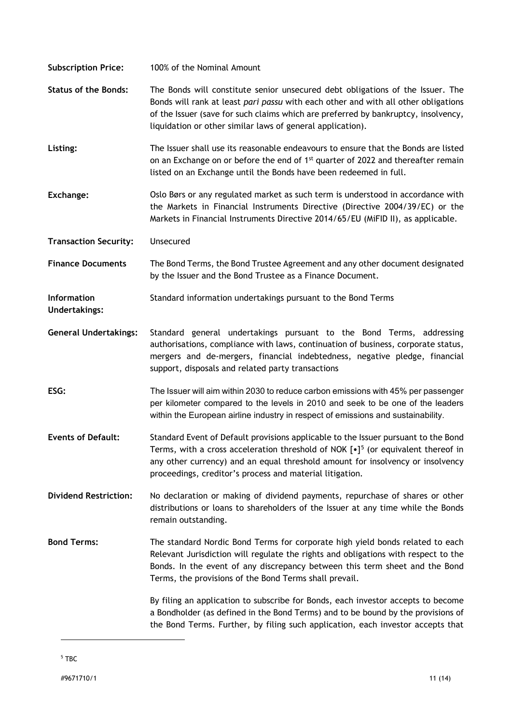<span id="page-10-0"></span>

| <b>Subscription Price:</b>                 | 100% of the Nominal Amount                                                                                                                                                                                                                                                                                                              |
|--------------------------------------------|-----------------------------------------------------------------------------------------------------------------------------------------------------------------------------------------------------------------------------------------------------------------------------------------------------------------------------------------|
| <b>Status of the Bonds:</b>                | The Bonds will constitute senior unsecured debt obligations of the Issuer. The<br>Bonds will rank at least pari passu with each other and with all other obligations<br>of the Issuer (save for such claims which are preferred by bankruptcy, insolvency,<br>liquidation or other similar laws of general application).                |
| Listing:                                   | The Issuer shall use its reasonable endeavours to ensure that the Bonds are listed<br>on an Exchange on or before the end of 1 <sup>st</sup> quarter of 2022 and thereafter remain<br>listed on an Exchange until the Bonds have been redeemed in full.                                                                                 |
| Exchange:                                  | Oslo Børs or any regulated market as such term is understood in accordance with<br>the Markets in Financial Instruments Directive (Directive 2004/39/EC) or the<br>Markets in Financial Instruments Directive 2014/65/EU (MiFID II), as applicable.                                                                                     |
| <b>Transaction Security:</b>               | Unsecured                                                                                                                                                                                                                                                                                                                               |
| <b>Finance Documents</b>                   | The Bond Terms, the Bond Trustee Agreement and any other document designated<br>by the Issuer and the Bond Trustee as a Finance Document.                                                                                                                                                                                               |
| <b>Information</b><br><b>Undertakings:</b> | Standard information undertakings pursuant to the Bond Terms                                                                                                                                                                                                                                                                            |
| <b>General Undertakings:</b>               | Standard general undertakings pursuant to the Bond Terms, addressing<br>authorisations, compliance with laws, continuation of business, corporate status,<br>mergers and de-mergers, financial indebtedness, negative pledge, financial<br>support, disposals and related party transactions                                            |
| ESG:                                       | The Issuer will aim within 2030 to reduce carbon emissions with 45% per passenger<br>per kilometer compared to the levels in 2010 and seek to be one of the leaders<br>within the European airline industry in respect of emissions and sustainability.                                                                                 |
| <b>Events of Default:</b>                  | Standard Event of Default provisions applicable to the Issuer pursuant to the Bond<br>Terms, with a cross acceleration threshold of NOK $\lceil \cdot \rceil^5$ (or equivalent thereof in<br>any other currency) and an equal threshold amount for insolvency or insolvency<br>proceedings, creditor's process and material litigation. |
| <b>Dividend Restriction:</b>               | No declaration or making of dividend payments, repurchase of shares or other<br>distributions or loans to shareholders of the Issuer at any time while the Bonds<br>remain outstanding.                                                                                                                                                 |
| <b>Bond Terms:</b>                         | The standard Nordic Bond Terms for corporate high yield bonds related to each<br>Relevant Jurisdiction will regulate the rights and obligations with respect to the<br>Bonds. In the event of any discrepancy between this term sheet and the Bond<br>Terms, the provisions of the Bond Terms shall prevail.                            |
|                                            | By filing an application to subscribe for Bonds, each investor accepts to become<br>a Bondholder (as defined in the Bond Terms) and to be bound by the provisions of<br>the Bond Terms. Further, by filing such application, each investor accepts that                                                                                 |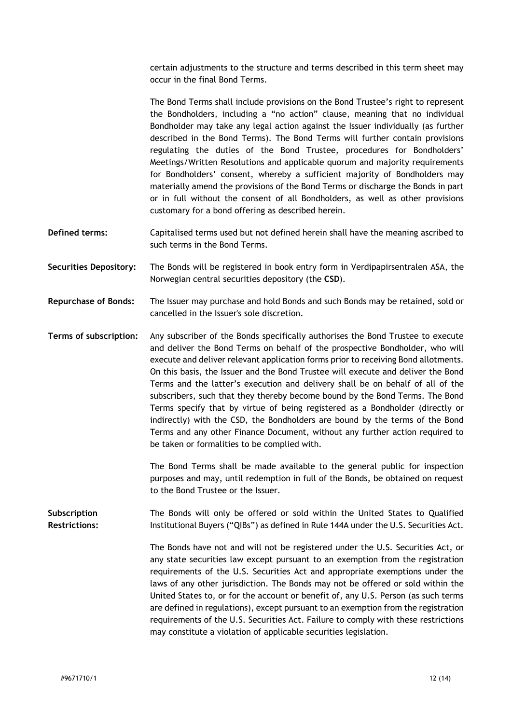certain adjustments to the structure and terms described in this term sheet may occur in the final Bond Terms.

The Bond Terms shall include provisions on the Bond Trustee's right to represent the Bondholders, including a "no action" clause, meaning that no individual Bondholder may take any legal action against the Issuer individually (as further described in the Bond Terms). The Bond Terms will further contain provisions regulating the duties of the Bond Trustee, procedures for Bondholders' Meetings/Written Resolutions and applicable quorum and majority requirements for Bondholders' consent, whereby a sufficient majority of Bondholders may materially amend the provisions of the Bond Terms or discharge the Bonds in part or in full without the consent of all Bondholders, as well as other provisions customary for a bond offering as described herein.

- **Defined terms:** Capitalised terms used but not defined herein shall have the meaning ascribed to such terms in the Bond Terms.
- **Securities Depository:** The Bonds will be registered in book entry form in Verdipapirsentralen ASA, the Norwegian central securities depository (the **CSD**).
- **Repurchase of Bonds:** The Issuer may purchase and hold Bonds and such Bonds may be retained, sold or cancelled in the Issuer's sole discretion.

**Terms of subscription:** Any subscriber of the Bonds specifically authorises the Bond Trustee to execute and deliver the Bond Terms on behalf of the prospective Bondholder, who will execute and deliver relevant application forms prior to receiving Bond allotments. On this basis, the Issuer and the Bond Trustee will execute and deliver the Bond Terms and the latter's execution and delivery shall be on behalf of all of the subscribers, such that they thereby become bound by the Bond Terms. The Bond Terms specify that by virtue of being registered as a Bondholder (directly or indirectly) with the CSD, the Bondholders are bound by the terms of the Bond Terms and any other Finance Document, without any further action required to be taken or formalities to be complied with.

> The Bond Terms shall be made available to the general public for inspection purposes and may, until redemption in full of the Bonds, be obtained on request to the Bond Trustee or the Issuer.

**Subscription Restrictions:** The Bonds will only be offered or sold within the United States to Qualified Institutional Buyers ("QIBs") as defined in Rule 144A under the U.S. Securities Act.

> The Bonds have not and will not be registered under the U.S. Securities Act, or any state securities law except pursuant to an exemption from the registration requirements of the U.S. Securities Act and appropriate exemptions under the laws of any other jurisdiction. The Bonds may not be offered or sold within the United States to, or for the account or benefit of, any U.S. Person (as such terms are defined in regulations), except pursuant to an exemption from the registration requirements of the U.S. Securities Act. Failure to comply with these restrictions may constitute a violation of applicable securities legislation.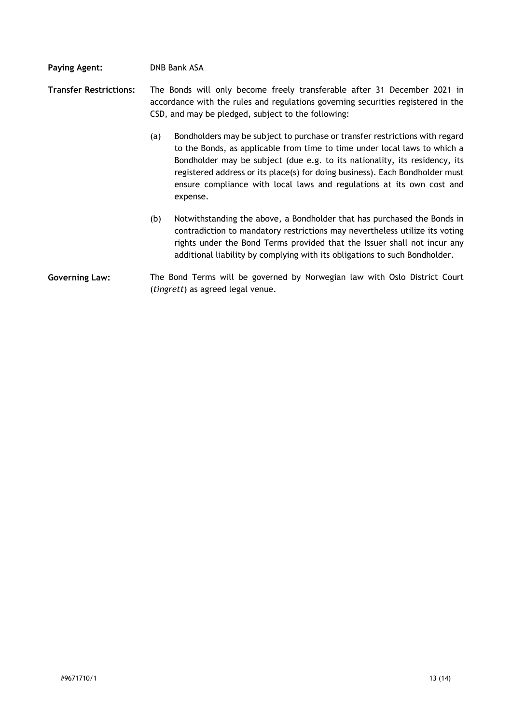### **Paying Agent:** DNB Bank ASA

- **Transfer Restrictions:** The Bonds will only become freely transferable after 31 December 2021 in accordance with the rules and regulations governing securities registered in the CSD, and may be pledged, subject to the following:
	- (a) Bondholders may be subject to purchase or transfer restrictions with regard to the Bonds, as applicable from time to time under local laws to which a Bondholder may be subject (due e.g. to its nationality, its residency, its registered address or its place(s) for doing business). Each Bondholder must ensure compliance with local laws and regulations at its own cost and expense.
	- (b) Notwithstanding the above, a Bondholder that has purchased the Bonds in contradiction to mandatory restrictions may nevertheless utilize its voting rights under the Bond Terms provided that the Issuer shall not incur any additional liability by complying with its obligations to such Bondholder.
- **Governing Law:** The Bond Terms will be governed by Norwegian law with Oslo District Court (*tingrett*) as agreed legal venue.